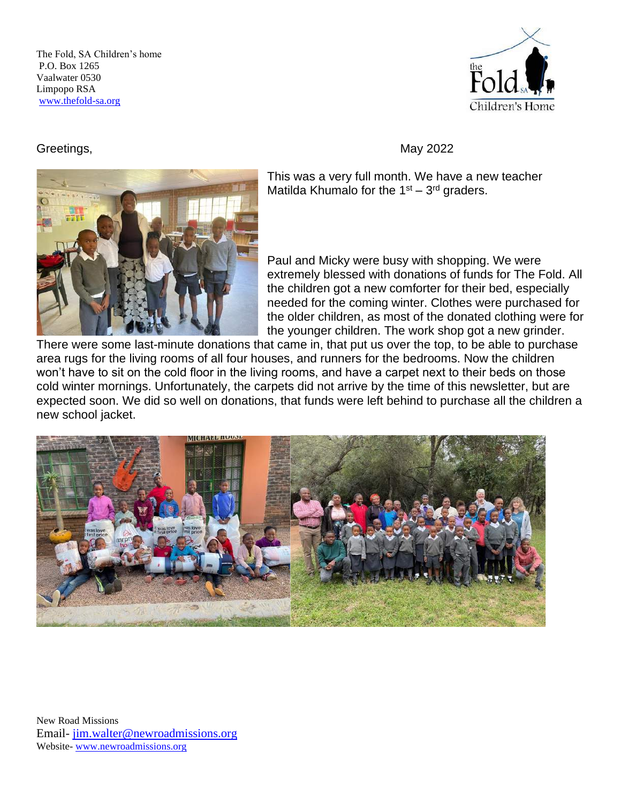The Fold, SA Children's home P.O. Box 1265 Vaalwater 0530 Limpopo RSA [www.thefold-sa.org](http://www.thefold-sa.org/) 



This was a very full month. We have a new teacher Matilda Khumalo for the  $1<sup>st</sup> - 3<sup>rd</sup>$  graders.

Paul and Micky were busy with shopping. We were extremely blessed with donations of funds for The Fold. All the children got a new comforter for their bed, especially needed for the coming winter. Clothes were purchased for the older children, as most of the donated clothing were for the younger children. The work shop got a new grinder.

There were some last-minute donations that came in, that put us over the top, to be able to purchase area rugs for the living rooms of all four houses, and runners for the bedrooms. Now the children won't have to sit on the cold floor in the living rooms, and have a carpet next to their beds on those cold winter mornings. Unfortunately, the carpets did not arrive by the time of this newsletter, but are expected soon. We did so well on donations, that funds were left behind to purchase all the children a new school jacket.



New Road Missions Email- [jim.walter@newroadmissions.org](mailto:jim.walter@newroadmissions.org) Website- [www.newroadmissions.org](http://www.newroadmissions.org/)

## Greetings, Navigation Contract Contract Contract Contract Contract Contract Contract Contract Contract Contract Contract Contract Contract Contract Contract Contract Contract Contract Contract Contract Contract Contract Co